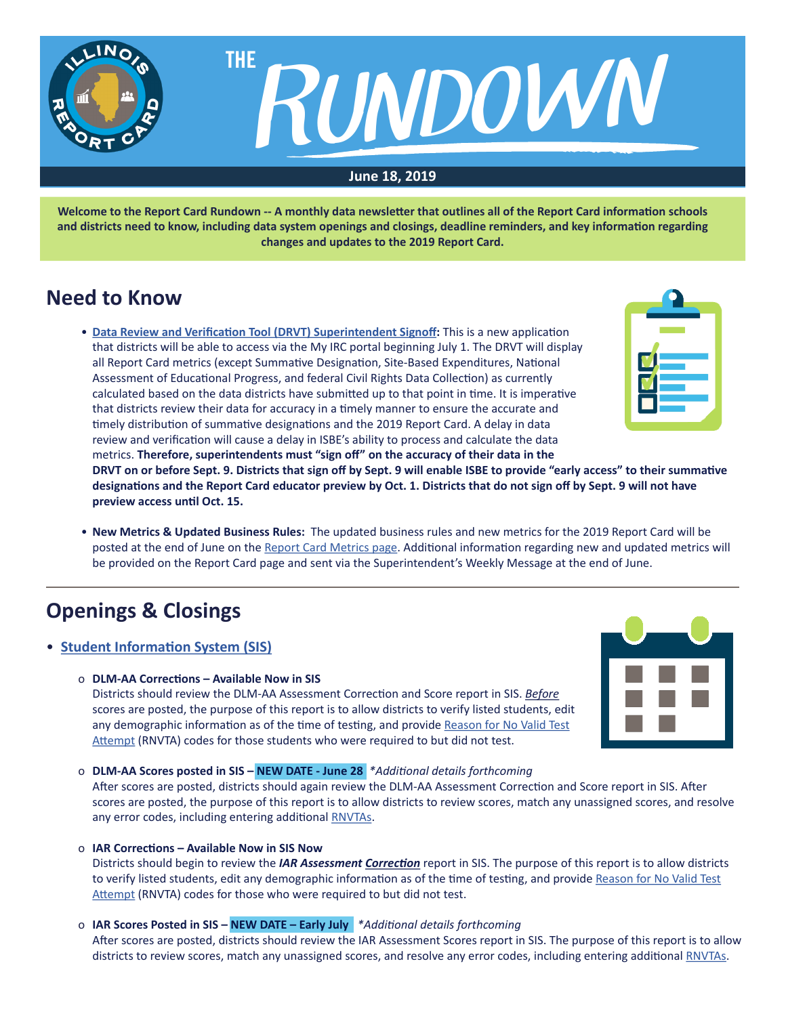

**Welcome to the Report Card Rundown -- A monthly data newsletter that outlines all of the Report Card information schools and districts need to know, including data system openings and closings, deadline reminders, and key information regarding changes and updates to the 2019 Report Card.**

# **Need to Know**

• **[Data Review and Verification Tool \(DRVT\) Superintendent Signoff](https://www.isbe.net/Documents/June-2019-Data-Review-Verification-Tool-Memo.pdf):** This is a new application that districts will be able to access via the My IRC portal beginning July 1. The DRVT will display all Report Card metrics (except Summative Designation, Site-Based Expenditures, National Assessment of Educational Progress, and federal Civil Rights Data Collection) as currently calculated based on the data districts have submitted up to that point in time. It is imperative that districts review their data for accuracy in a timely manner to ensure the accurate and timely distribution of summative designations and the 2019 Report Card. A delay in data review and verification will cause a delay in ISBE's ability to process and calculate the data metrics. **Therefore, superintendents must "sign off" on the accuracy of their data in the**



**DRVT on or before Sept. 9. Districts that sign off by Sept. 9 will enable ISBE to provide "early access" to their summative designations and the Report Card educator preview by Oct. 1. Districts that do not sign off by Sept. 9 will not have preview access until Oct. 15.**

• **New Metrics & Updated Business Rules:** The updated business rules and new metrics for the 2019 Report Card will be posted at the end of June on the [Report Card Metrics page.](https://www.isbe.net/Pages/Report-Card-Metrics.aspx) Additional information regarding new and updated metrics will be provided on the Report Card page and sent via the Superintendent's Weekly Message at the end of June.

# **Openings & Closings**

- **[Student Information System \(SIS](https://www.isbe.net/Pages/Student-Information-System.aspx))**
	- o **DLM-AA Corrections Available Now in SIS**

Districts should review the DLM-AA Assessment Correction and Score report in SIS. *Before* scores are posted, the purpose of this report is to allow districts to verify listed students, edit any demographic information as of the time of testing, and provide [Reason for No Valid Test](https://www.isbe.net/Documents/reason-no-valid-test-attmpt.pdf) [Attempt](https://www.isbe.net/Documents/reason-no-valid-test-attmpt.pdf) (RNVTA) codes for those students who were required to but did not test.



### o **DLM-AA Scores posted in SIS – NEW DATE - June 28** *\*Additional details forthcoming*

After scores are posted, districts should again review the DLM-AA Assessment Correction and Score report in SIS. After scores are posted, the purpose of this report is to allow districts to review scores, match any unassigned scores, and resolve any error codes, including entering additional [RNVTAs.](https://www.isbe.net/Documents/reason-no-valid-test-attmpt.pdf)

o **IAR Corrections – Available Now in SIS Now**

Districts should begin to review the *IAR Assessment Correction* report in SIS. The purpose of this report is to allow districts to verify listed students, edit any demographic information as of the time of testing, and provide [Reason for No Valid Test](https://www.isbe.net/Documents/reason-no-valid-test-attmpt.pdf) [Attempt](https://www.isbe.net/Documents/reason-no-valid-test-attmpt.pdf) (RNVTA) codes for those who were required to but did not test.

o **IAR Scores Posted in SIS – NEW DATE – Early July** *\*Additional details forthcoming*

After scores are posted, districts should review the IAR Assessment Scores report in SIS. The purpose of this report is to allow districts to review scores, match any unassigned scores, and resolve any error codes, including entering additional [RNVTAs.](https://www.isbe.net/Documents/reason-no-valid-test-attmpt.pdf)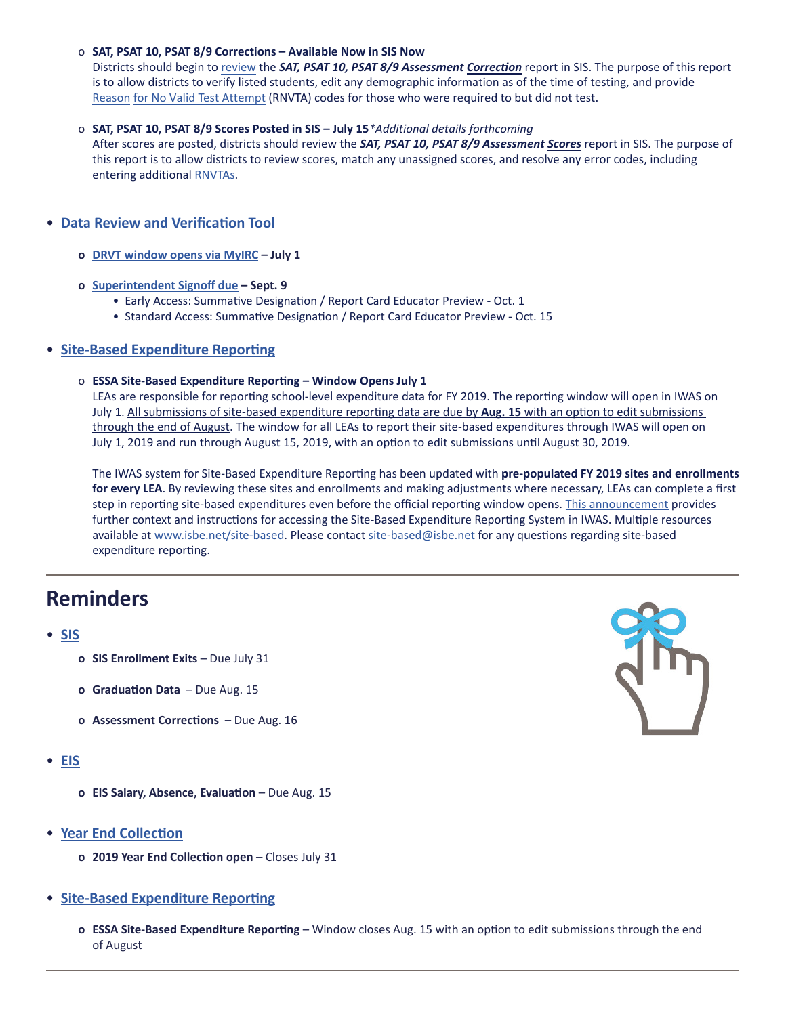### o **SAT, PSAT 10, PSAT 8/9 Corrections – Available Now in SIS Now**

Districts should begin to [review](https://www.isbe.net/Documents/SAT-AC-Announcement.pdf) the *SAT, PSAT 10, PSAT 8/9 Assessment Correction* report in SIS. The purpose of this report is to allow districts to verify listed students, edit any demographic information as of the time of testing, and provide [Reason](https://www.isbe.net/Documents/reason-no-valid-test-attmpt.pdf) for No Valid Test Attempt (RNVTA) codes for those who were required to but did not test.

### o **SAT, PSAT 10, PSAT 8/9 Scores Posted in SIS – July 15***\*Additional details forthcoming*

After scores are posted, districts should review the **SAT, PSAT 10, PSAT 8/9 Assessment Scores** report in SIS. The purpose of this report is to allow districts to review scores, match any unassigned scores, and resolve any error codes, including entering additional [RNVTAs](https://www.isbe.net/Documents/reason-no-valid-test-attmpt.pdf).

### • **[Data Review and Verification Tool](https://www.isbe.net/site-based)**

- **o [DRVT window opens via MyIRC](https://www.isbe.net/Documents/Data-Review-Verification-Tool-Memo.pdf) July 1**
- **o [Superintendent Signoff due](https://www.isbe.net/Documents/June-2019-Data-Review-Verification-Tool-Memo.pdf)  Sept. 9**
	- Early Access: Summative Designation / Report Card Educator Preview Oct. 1
	- Standard Access: Summative Designation / Report Card Educator Preview Oct. 15

### • **[Site-Based Expenditure Reporting](https://www.isbe.net/site-based)**

### o **ESSA Site-Based Expenditure Reporting – Window Opens July 1**

LEAs are responsible for reporting school-level expenditure data for FY 2019. The reporting window will open in IWAS on July 1. All submissions of site-based expenditure reporting data are due by **Aug. 15** with an option to edit submissions through the end of August. The window for all LEAs to report their site-based expenditures through IWAS will open on July 1, 2019 and run through August 15, 2019, with an option to edit submissions until August 30, 2019.

The IWAS system for Site-Based Expenditure Reporting has been updated with **pre-populated FY 2019 sites and enrollments for every LEA**. By reviewing these sites and enrollments and making adjustments where necessary, LEAs can complete a first step in reporting site-based expenditures even before the official reporting window opens. [This announcement](https://www.isbe.net/Documents/SBER-FY19-Release-IWAS-Broadcast.pdf) provides further context and instructions for accessing the Site-Based Expenditure Reporting System in IWAS. Multiple resources available at [www.isbe.net/site-based](http://www.isbe.net/site-based). Please contact [site-based@isbe.net](mailto:site-based%40isbe.net?subject=) for any questions regarding site-based expenditure reporting.

# **Reminders**

### • **[SIS](https://www.isbe.net/Pages/Student-Information-System.aspx)**

- **o SIS Enrollment Exits**  Due July 31
- **o Graduation Data**  Due Aug. 15
- **o Assessment Corrections**  Due Aug. 16

### • **[EIS](https://www.isbe.net/Pages/Employment-Information-System.aspx)**

- **o EIS Salary, Absence, Evaluation** Due Aug. 15
- **[Year End Collection](https://www.isbe.net/Documents/Year-End-data-Collection-Guidance.pdf)**
	- **o 2019 Year End Collection open**  Closes July 31
- **[Site-Based Expenditure Reporting](https://www.isbe.net/site-based)**
	- **o ESSA Site-Based Expenditure Reporting** Window closes Aug. 15 with an option to edit submissions through the end of August